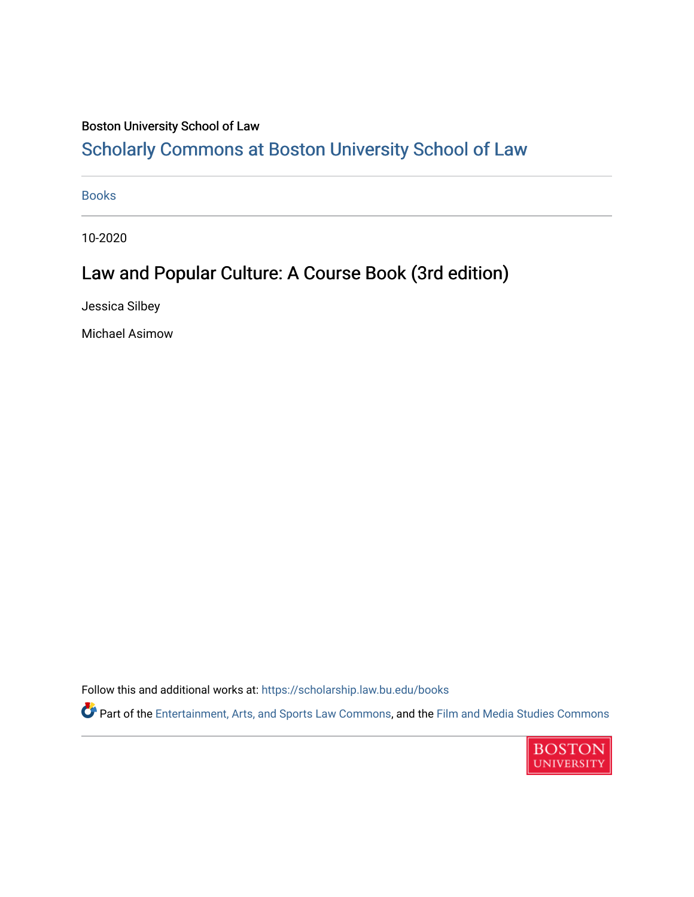## Boston University School of Law

# [Scholarly Commons at Boston University School of Law](https://scholarship.law.bu.edu/)

[Books](https://scholarship.law.bu.edu/books) 

10-2020

# Law and Popular Culture: A Course Book (3rd edition)

Jessica Silbey

Michael Asimow

Follow this and additional works at: [https://scholarship.law.bu.edu/books](https://scholarship.law.bu.edu/books?utm_source=scholarship.law.bu.edu%2Fbooks%2F129&utm_medium=PDF&utm_campaign=PDFCoverPages)

Part of the [Entertainment, Arts, and Sports Law Commons](http://network.bepress.com/hgg/discipline/893?utm_source=scholarship.law.bu.edu%2Fbooks%2F129&utm_medium=PDF&utm_campaign=PDFCoverPages), and the [Film and Media Studies Commons](http://network.bepress.com/hgg/discipline/563?utm_source=scholarship.law.bu.edu%2Fbooks%2F129&utm_medium=PDF&utm_campaign=PDFCoverPages) 

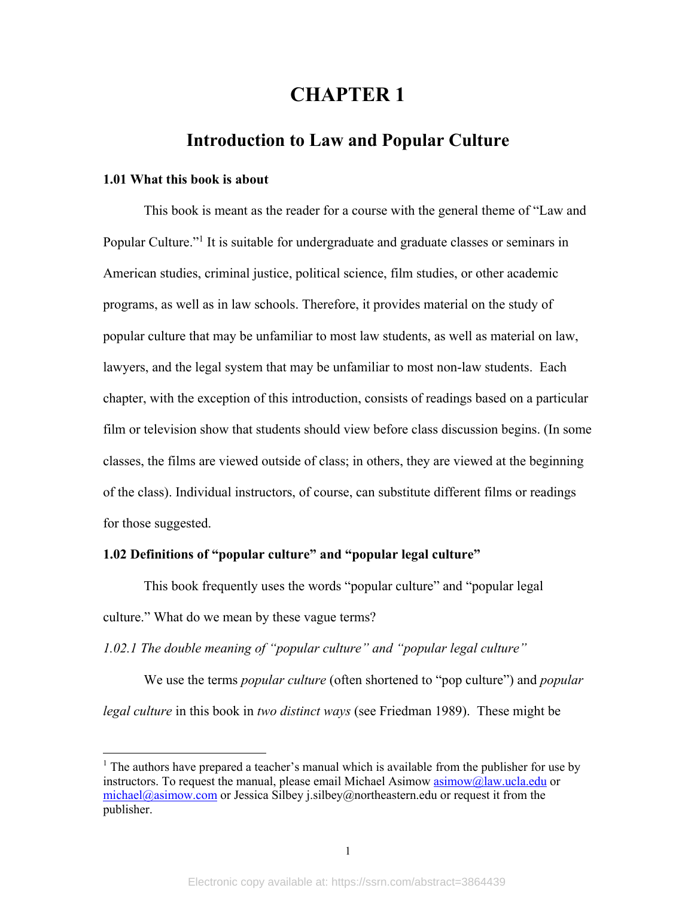## **CHAPTER 1**

## **Introduction to Law and Popular Culture**

#### **1.01 What this book is about**

This book is meant as the reader for a course with the general theme of "Law and Popular Culture."1 It is suitable for undergraduate and graduate classes or seminars in American studies, criminal justice, political science, film studies, or other academic programs, as well as in law schools. Therefore, it provides material on the study of popular culture that may be unfamiliar to most law students, as well as material on law, lawyers, and the legal system that may be unfamiliar to most non-law students. Each chapter, with the exception of this introduction, consists of readings based on a particular film or television show that students should view before class discussion begins. (In some classes, the films are viewed outside of class; in others, they are viewed at the beginning of the class). Individual instructors, of course, can substitute different films or readings for those suggested.

## **1.02 Definitions of "popular culture" and "popular legal culture"**

This book frequently uses the words "popular culture" and "popular legal culture." What do we mean by these vague terms?

*1.02.1 The double meaning of "popular culture" and "popular legal culture"*

We use the terms *popular culture* (often shortened to "pop culture") and *popular legal culture* in this book in *two distinct ways* (see Friedman 1989). These might be

<sup>&</sup>lt;sup>1</sup> The authors have prepared a teacher's manual which is available from the publisher for use by instructors. To request the manual, please email Michael Asimow  $\alpha$  as inow $\alpha$ law.ucla.edu or michael@asimow.com or Jessica Silbey j.silbey@northeastern.edu or request it from the publisher.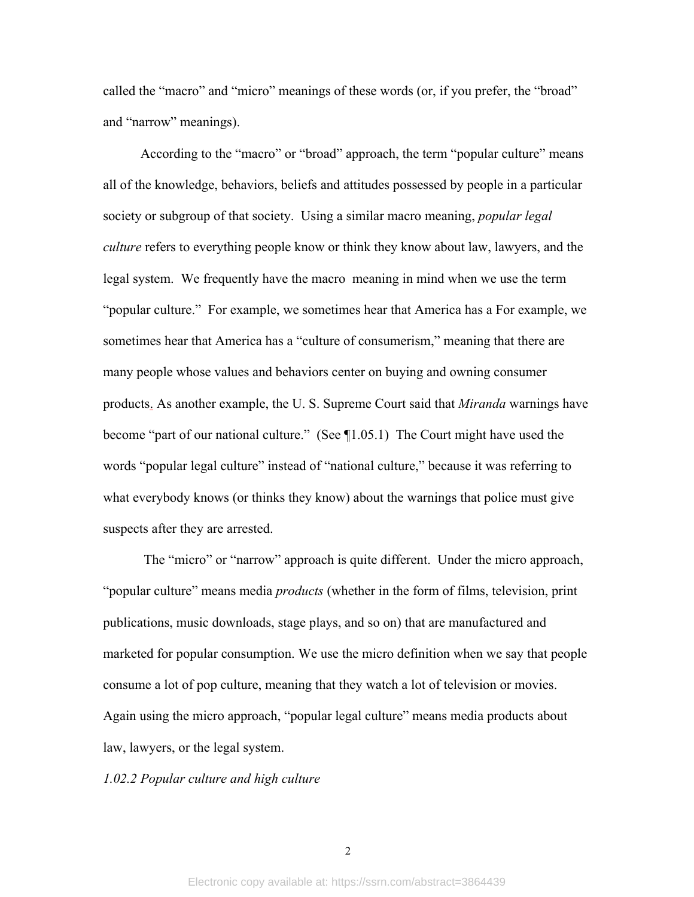called the "macro" and "micro" meanings of these words (or, if you prefer, the "broad" and "narrow" meanings).

 According to the "macro" or "broad" approach, the term "popular culture" means all of the knowledge, behaviors, beliefs and attitudes possessed by people in a particular society or subgroup of that society. Using a similar macro meaning, *popular legal culture* refers to everything people know or think they know about law, lawyers, and the legal system. We frequently have the macro meaning in mind when we use the term "popular culture." For example, we sometimes hear that America has a For example, we sometimes hear that America has a "culture of consumerism," meaning that there are many people whose values and behaviors center on buying and owning consumer products. As another example, the U. S. Supreme Court said that *Miranda* warnings have become "part of our national culture." (See ¶1.05.1) The Court might have used the words "popular legal culture" instead of "national culture," because it was referring to what everybody knows (or thinks they know) about the warnings that police must give suspects after they are arrested.

The "micro" or "narrow" approach is quite different. Under the micro approach, "popular culture" means media *products* (whether in the form of films, television, print publications, music downloads, stage plays, and so on) that are manufactured and marketed for popular consumption. We use the micro definition when we say that people consume a lot of pop culture, meaning that they watch a lot of television or movies. Again using the micro approach, "popular legal culture" means media products about law, lawyers, or the legal system.

*1.02.2 Popular culture and high culture*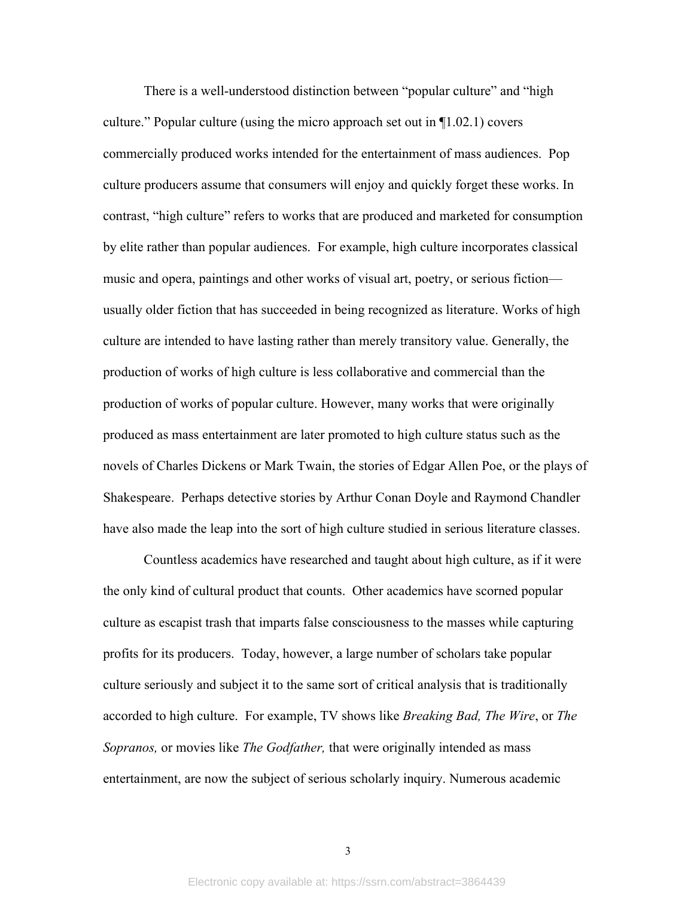There is a well-understood distinction between "popular culture" and "high culture." Popular culture (using the micro approach set out in ¶1.02.1) covers commercially produced works intended for the entertainment of mass audiences. Pop culture producers assume that consumers will enjoy and quickly forget these works. In contrast, "high culture" refers to works that are produced and marketed for consumption by elite rather than popular audiences. For example, high culture incorporates classical music and opera, paintings and other works of visual art, poetry, or serious fiction usually older fiction that has succeeded in being recognized as literature. Works of high culture are intended to have lasting rather than merely transitory value. Generally, the production of works of high culture is less collaborative and commercial than the production of works of popular culture. However, many works that were originally produced as mass entertainment are later promoted to high culture status such as the novels of Charles Dickens or Mark Twain, the stories of Edgar Allen Poe, or the plays of Shakespeare. Perhaps detective stories by Arthur Conan Doyle and Raymond Chandler have also made the leap into the sort of high culture studied in serious literature classes.

Countless academics have researched and taught about high culture, as if it were the only kind of cultural product that counts. Other academics have scorned popular culture as escapist trash that imparts false consciousness to the masses while capturing profits for its producers. Today, however, a large number of scholars take popular culture seriously and subject it to the same sort of critical analysis that is traditionally accorded to high culture. For example, TV shows like *Breaking Bad, The Wire*, or *The Sopranos,* or movies like *The Godfather,* that were originally intended as mass entertainment, are now the subject of serious scholarly inquiry. Numerous academic

3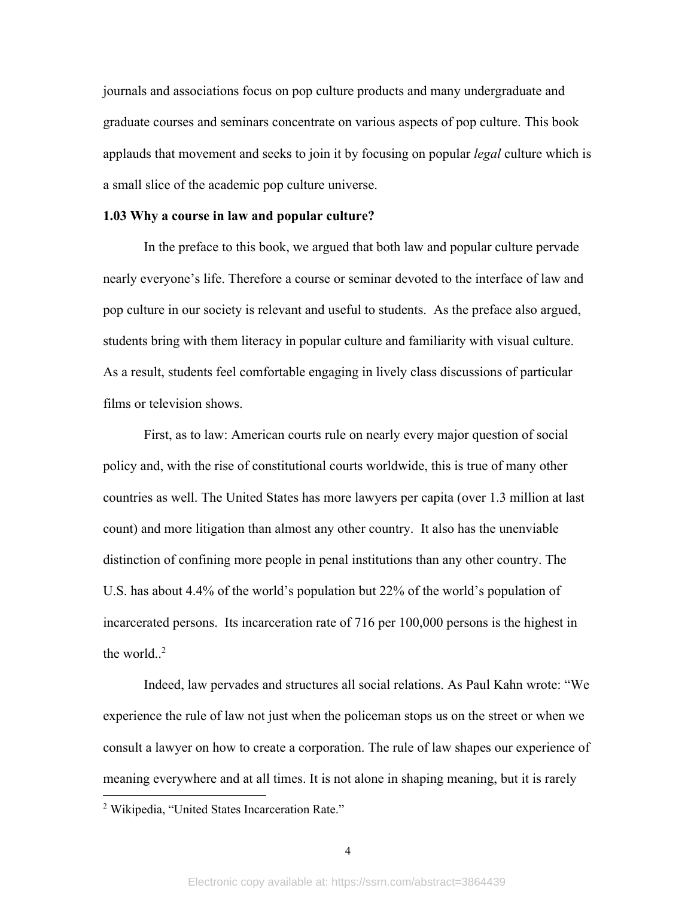journals and associations focus on pop culture products and many undergraduate and graduate courses and seminars concentrate on various aspects of pop culture. This book applauds that movement and seeks to join it by focusing on popular *legal* culture which is a small slice of the academic pop culture universe.

#### **1.03 Why a course in law and popular culture?**

In the preface to this book, we argued that both law and popular culture pervade nearly everyone's life. Therefore a course or seminar devoted to the interface of law and pop culture in our society is relevant and useful to students. As the preface also argued, students bring with them literacy in popular culture and familiarity with visual culture. As a result, students feel comfortable engaging in lively class discussions of particular films or television shows.

First, as to law: American courts rule on nearly every major question of social policy and, with the rise of constitutional courts worldwide, this is true of many other countries as well. The United States has more lawyers per capita (over 1.3 million at last count) and more litigation than almost any other country. It also has the unenviable distinction of confining more people in penal institutions than any other country. The U.S. has about 4.4% of the world's population but 22% of the world's population of incarcerated persons. Its incarceration rate of 716 per 100,000 persons is the highest in the world..2

Indeed, law pervades and structures all social relations. As Paul Kahn wrote: "We experience the rule of law not just when the policeman stops us on the street or when we consult a lawyer on how to create a corporation. The rule of law shapes our experience of meaning everywhere and at all times. It is not alone in shaping meaning, but it is rarely

<sup>2</sup> Wikipedia, "United States Incarceration Rate."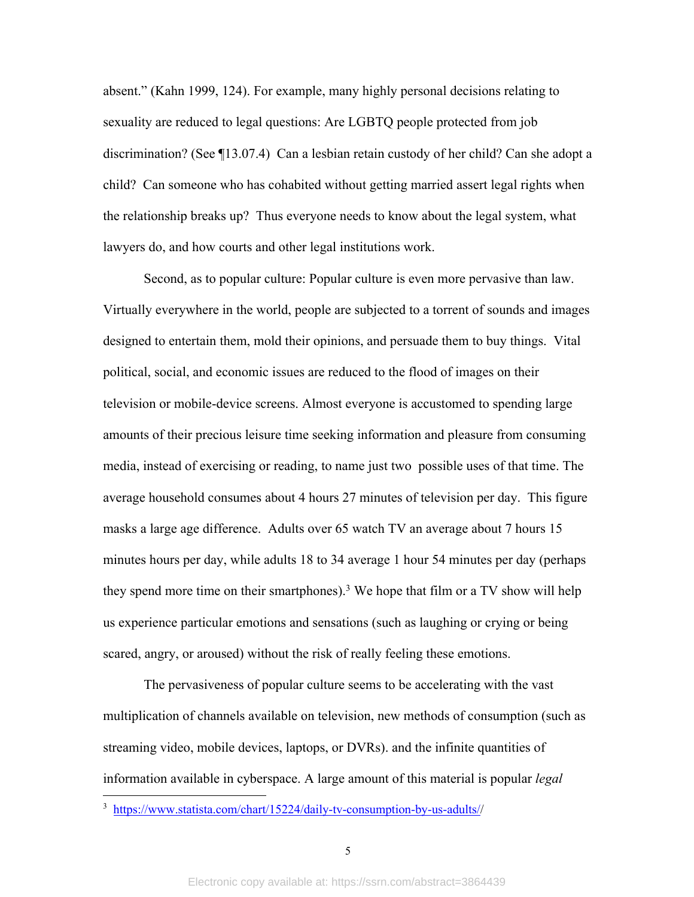absent." (Kahn 1999, 124). For example, many highly personal decisions relating to sexuality are reduced to legal questions: Are LGBTQ people protected from job discrimination? (See ¶13.07.4) Can a lesbian retain custody of her child? Can she adopt a child? Can someone who has cohabited without getting married assert legal rights when the relationship breaks up? Thus everyone needs to know about the legal system, what lawyers do, and how courts and other legal institutions work.

Second, as to popular culture: Popular culture is even more pervasive than law. Virtually everywhere in the world, people are subjected to a torrent of sounds and images designed to entertain them, mold their opinions, and persuade them to buy things. Vital political, social, and economic issues are reduced to the flood of images on their television or mobile-device screens. Almost everyone is accustomed to spending large amounts of their precious leisure time seeking information and pleasure from consuming media, instead of exercising or reading, to name just two possible uses of that time. The average household consumes about 4 hours 27 minutes of television per day. This figure masks a large age difference. Adults over 65 watch TV an average about 7 hours 15 minutes hours per day, while adults 18 to 34 average 1 hour 54 minutes per day (perhaps they spend more time on their smartphones).<sup>3</sup> We hope that film or a TV show will help us experience particular emotions and sensations (such as laughing or crying or being scared, angry, or aroused) without the risk of really feeling these emotions.

The pervasiveness of popular culture seems to be accelerating with the vast multiplication of channels available on television, new methods of consumption (such as streaming video, mobile devices, laptops, or DVRs). and the infinite quantities of information available in cyberspace. A large amount of this material is popular *legal*

<sup>&</sup>lt;sup>3</sup> https://www.statista.com/chart/15224/daily-tv-consumption-by-us-adults//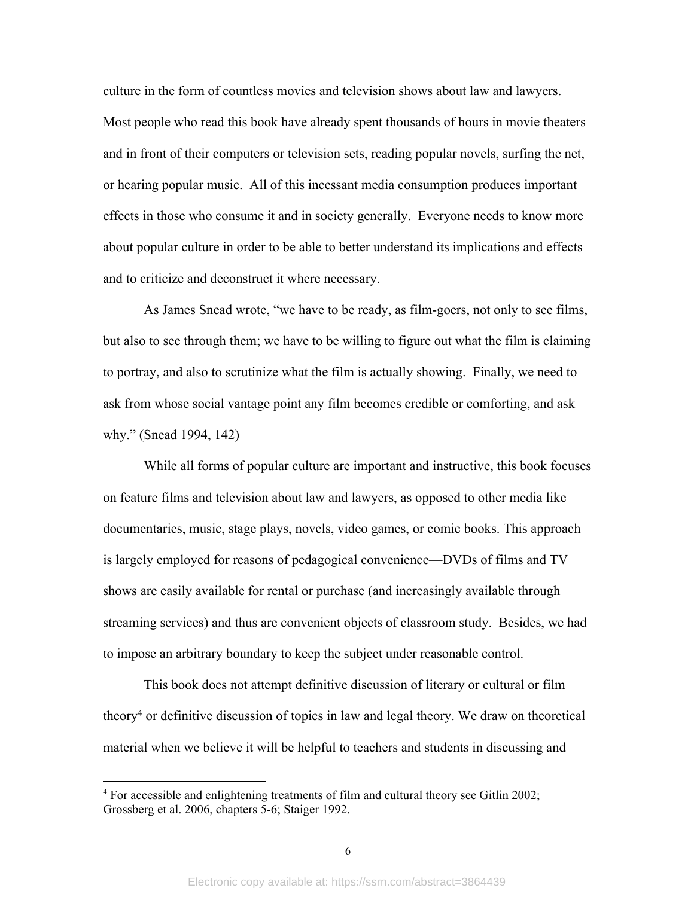culture in the form of countless movies and television shows about law and lawyers. Most people who read this book have already spent thousands of hours in movie theaters and in front of their computers or television sets, reading popular novels, surfing the net, or hearing popular music. All of this incessant media consumption produces important effects in those who consume it and in society generally. Everyone needs to know more about popular culture in order to be able to better understand its implications and effects and to criticize and deconstruct it where necessary.

As James Snead wrote, "we have to be ready, as film-goers, not only to see films, but also to see through them; we have to be willing to figure out what the film is claiming to portray, and also to scrutinize what the film is actually showing. Finally, we need to ask from whose social vantage point any film becomes credible or comforting, and ask why." (Snead 1994, 142)

While all forms of popular culture are important and instructive, this book focuses on feature films and television about law and lawyers, as opposed to other media like documentaries, music, stage plays, novels, video games, or comic books. This approach is largely employed for reasons of pedagogical convenience—DVDs of films and TV shows are easily available for rental or purchase (and increasingly available through streaming services) and thus are convenient objects of classroom study. Besides, we had to impose an arbitrary boundary to keep the subject under reasonable control.

This book does not attempt definitive discussion of literary or cultural or film theory4 or definitive discussion of topics in law and legal theory. We draw on theoretical material when we believe it will be helpful to teachers and students in discussing and

<sup>&</sup>lt;sup>4</sup> For accessible and enlightening treatments of film and cultural theory see Gitlin 2002; Grossberg et al. 2006, chapters 5-6; Staiger 1992.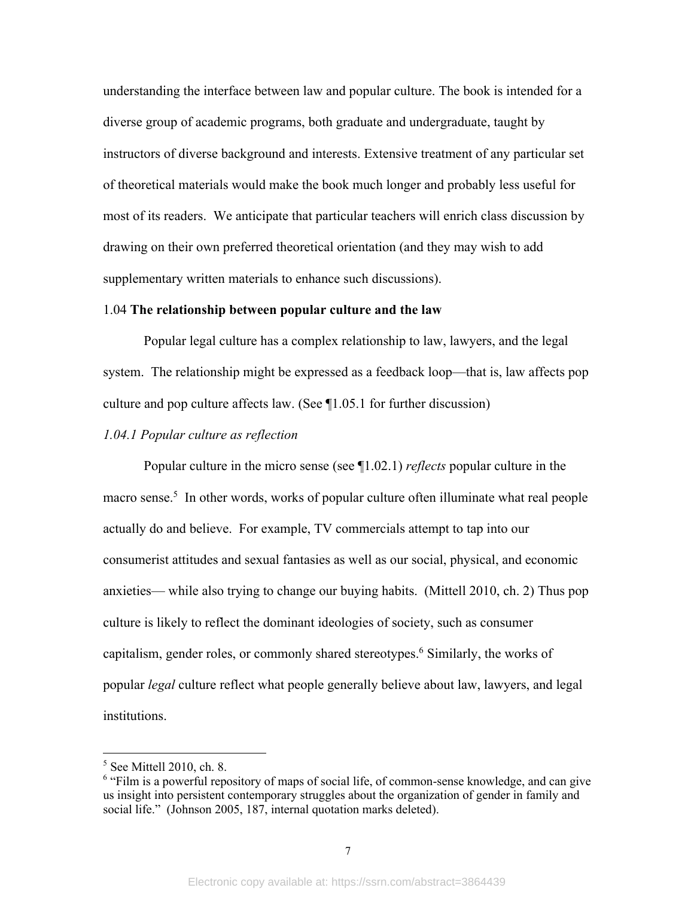understanding the interface between law and popular culture. The book is intended for a diverse group of academic programs, both graduate and undergraduate, taught by instructors of diverse background and interests. Extensive treatment of any particular set of theoretical materials would make the book much longer and probably less useful for most of its readers. We anticipate that particular teachers will enrich class discussion by drawing on their own preferred theoretical orientation (and they may wish to add supplementary written materials to enhance such discussions).

#### 1.04 **The relationship between popular culture and the law**

Popular legal culture has a complex relationship to law, lawyers, and the legal system. The relationship might be expressed as a feedback loop—that is, law affects pop culture and pop culture affects law. (See ¶1.05.1 for further discussion)

## *1.04.1 Popular culture as reflection*

Popular culture in the micro sense (see ¶1.02.1) *reflects* popular culture in the macro sense.<sup>5</sup> In other words, works of popular culture often illuminate what real people actually do and believe. For example, TV commercials attempt to tap into our consumerist attitudes and sexual fantasies as well as our social, physical, and economic anxieties— while also trying to change our buying habits. (Mittell 2010, ch. 2) Thus pop culture is likely to reflect the dominant ideologies of society, such as consumer capitalism, gender roles, or commonly shared stereotypes.<sup>6</sup> Similarly, the works of popular *legal* culture reflect what people generally believe about law, lawyers, and legal institutions.

 $<sup>5</sup>$  See Mittell 2010, ch. 8.</sup>

<sup>&</sup>lt;sup>6</sup> "Film is a powerful repository of maps of social life, of common-sense knowledge, and can give us insight into persistent contemporary struggles about the organization of gender in family and social life." (Johnson 2005, 187, internal quotation marks deleted).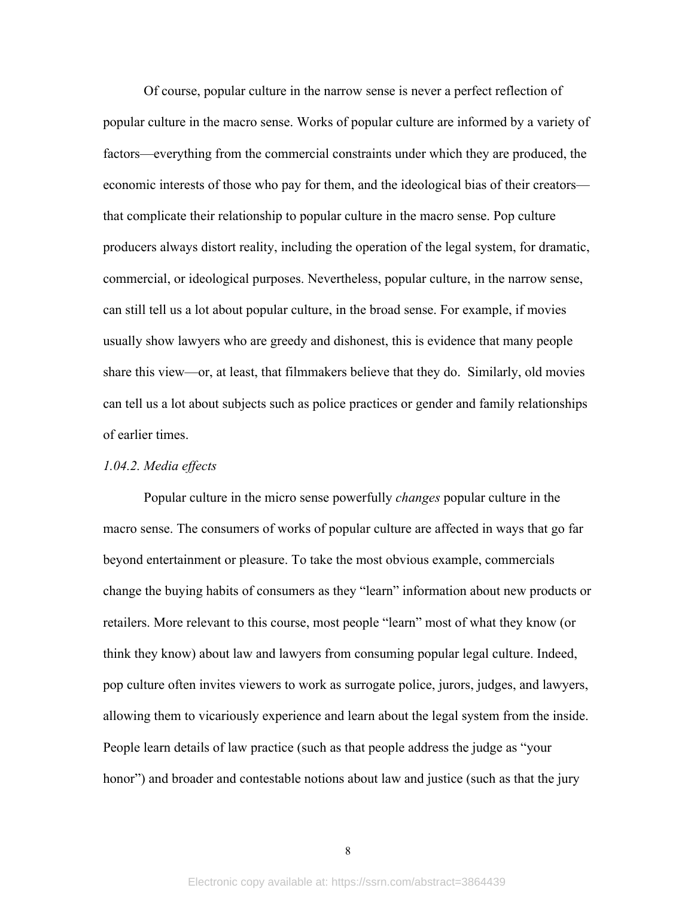Of course, popular culture in the narrow sense is never a perfect reflection of popular culture in the macro sense. Works of popular culture are informed by a variety of factors—everything from the commercial constraints under which they are produced, the economic interests of those who pay for them, and the ideological bias of their creators that complicate their relationship to popular culture in the macro sense. Pop culture producers always distort reality, including the operation of the legal system, for dramatic, commercial, or ideological purposes. Nevertheless, popular culture, in the narrow sense, can still tell us a lot about popular culture, in the broad sense. For example, if movies usually show lawyers who are greedy and dishonest, this is evidence that many people share this view—or, at least, that filmmakers believe that they do. Similarly, old movies can tell us a lot about subjects such as police practices or gender and family relationships of earlier times.

## *1.04.2. Media effects*

Popular culture in the micro sense powerfully *changes* popular culture in the macro sense. The consumers of works of popular culture are affected in ways that go far beyond entertainment or pleasure. To take the most obvious example, commercials change the buying habits of consumers as they "learn" information about new products or retailers. More relevant to this course, most people "learn" most of what they know (or think they know) about law and lawyers from consuming popular legal culture. Indeed, pop culture often invites viewers to work as surrogate police, jurors, judges, and lawyers, allowing them to vicariously experience and learn about the legal system from the inside. People learn details of law practice (such as that people address the judge as "your honor") and broader and contestable notions about law and justice (such as that the jury

8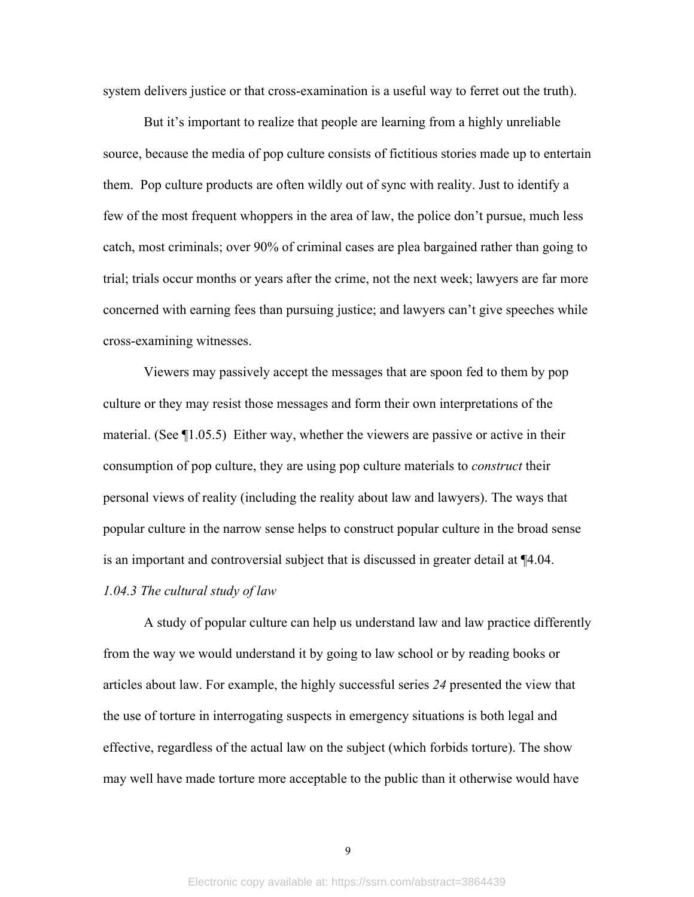system delivers justice or that cross-examination is a useful way to ferret out the truth).

But it's important to realize that people are learning from a highly unreliable source, because the media of pop culture consists of fictitious stories made up to entertain them. Pop culture products are often wildly out of sync with reality. Just to identify a few of the most frequent whoppers in the area of law, the police don't pursue, much less catch, most criminals; over 90% of criminal cases are plea bargained rather than going to trial; trials occur months or years after the crime, not the next week; lawyers are far more concerned with earning fees than pursuing justice; and lawyers can't give speeches while cross-examining witnesses.

Viewers may passively accept the messages that are spoon fed to them by pop culture or they may resist those messages and form their own interpretations of the material. (See ¶1.05.5) Either way, whether the viewers are passive or active in their consumption of pop culture, they are using pop culture materials to *construct* their personal views of reality (including the reality about law and lawyers). The ways that popular culture in the narrow sense helps to construct popular culture in the broad sense is an important and controversial subject that is discussed in greater detail at ¶4.04.

## *1.04.3 The cultural study of law*

A study of popular culture can help us understand law and law practice differently from the way we would understand it by going to law school or by reading books or articles about law. For example, the highly successful series *24* presented the view that the use of torture in interrogating suspects in emergency situations is both legal and effective, regardless of the actual law on the subject (which forbids torture). The show may well have made torture more acceptable to the public than it otherwise would have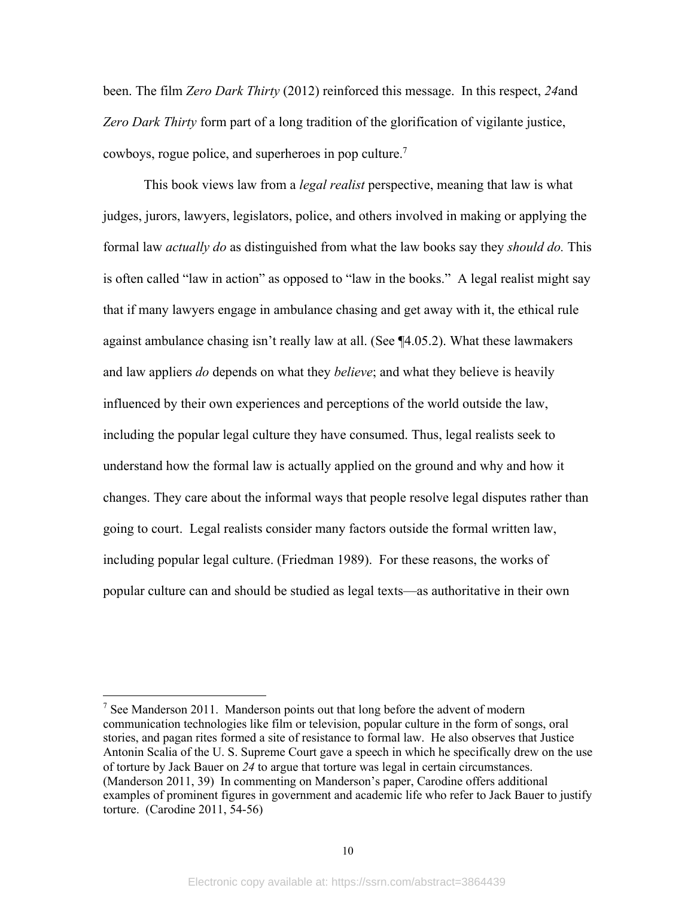been. The film *Zero Dark Thirty* (2012) reinforced this message. In this respect, *24*and *Zero Dark Thirty* form part of a long tradition of the glorification of vigilante justice, cowboys, rogue police, and superheroes in pop culture.7

This book views law from a *legal realist* perspective, meaning that law is what judges, jurors, lawyers, legislators, police, and others involved in making or applying the formal law *actually do* as distinguished from what the law books say they *should do.* This is often called "law in action" as opposed to "law in the books." A legal realist might say that if many lawyers engage in ambulance chasing and get away with it, the ethical rule against ambulance chasing isn't really law at all. (See ¶4.05.2). What these lawmakers and law appliers *do* depends on what they *believe*; and what they believe is heavily influenced by their own experiences and perceptions of the world outside the law, including the popular legal culture they have consumed. Thus, legal realists seek to understand how the formal law is actually applied on the ground and why and how it changes. They care about the informal ways that people resolve legal disputes rather than going to court. Legal realists consider many factors outside the formal written law, including popular legal culture. (Friedman 1989). For these reasons, the works of popular culture can and should be studied as legal texts—as authoritative in their own

 $<sup>7</sup>$  See Manderson 2011. Manderson points out that long before the advent of modern</sup> communication technologies like film or television, popular culture in the form of songs, oral stories, and pagan rites formed a site of resistance to formal law. He also observes that Justice Antonin Scalia of the U. S. Supreme Court gave a speech in which he specifically drew on the use of torture by Jack Bauer on *24* to argue that torture was legal in certain circumstances. (Manderson 2011, 39) In commenting on Manderson's paper, Carodine offers additional examples of prominent figures in government and academic life who refer to Jack Bauer to justify torture. (Carodine 2011, 54-56)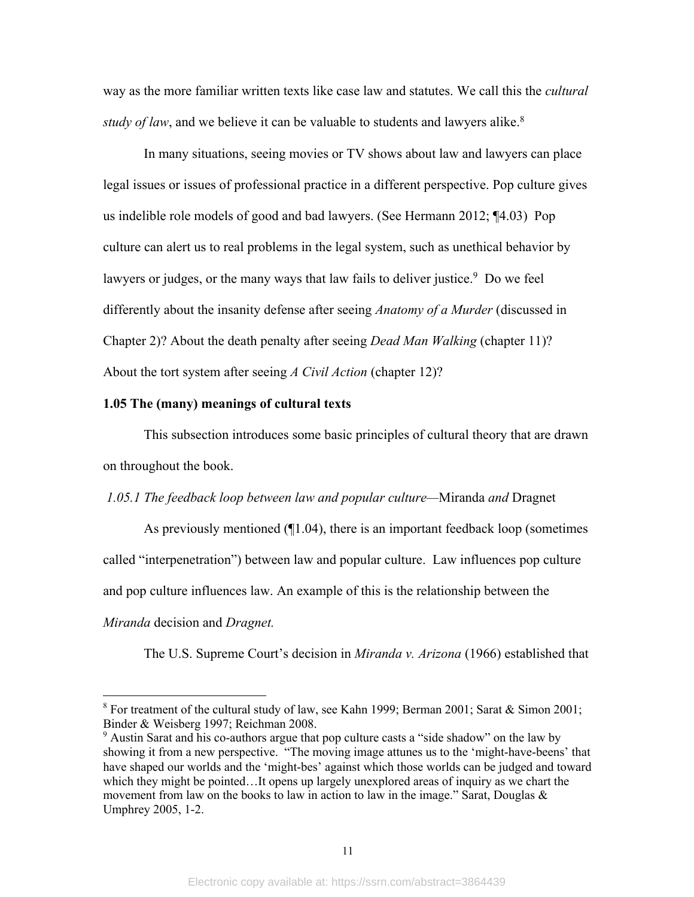way as the more familiar written texts like case law and statutes. We call this the *cultural study of law*, and we believe it can be valuable to students and lawyers alike.<sup>8</sup>

In many situations, seeing movies or TV shows about law and lawyers can place legal issues or issues of professional practice in a different perspective. Pop culture gives us indelible role models of good and bad lawyers. (See Hermann 2012; ¶4.03) Pop culture can alert us to real problems in the legal system, such as unethical behavior by lawyers or judges, or the many ways that law fails to deliver justice.<sup>9</sup> Do we feel differently about the insanity defense after seeing *Anatomy of a Murder* (discussed in Chapter 2)? About the death penalty after seeing *Dead Man Walking* (chapter 11)? About the tort system after seeing *A Civil Action* (chapter 12)?

#### **1.05 The (many) meanings of cultural texts**

This subsection introduces some basic principles of cultural theory that are drawn on throughout the book.

## *1.05.1 The feedback loop between law and popular culture—*Miranda *and* Dragnet

As previously mentioned  $(1.04)$ , there is an important feedback loop (sometimes called "interpenetration") between law and popular culture. Law influences pop culture and pop culture influences law. An example of this is the relationship between the *Miranda* decision and *Dragnet.* 

The U.S. Supreme Court's decision in *Miranda v. Arizona* (1966) established that

<sup>8</sup> For treatment of the cultural study of law, see Kahn 1999; Berman 2001; Sarat & Simon 2001; Binder & Weisberg 1997; Reichman 2008.

<sup>&</sup>lt;sup>9</sup> Austin Sarat and his co-authors argue that pop culture casts a "side shadow" on the law by showing it from a new perspective. "The moving image attunes us to the 'might-have-beens' that have shaped our worlds and the 'might-bes' against which those worlds can be judged and toward which they might be pointed…It opens up largely unexplored areas of inquiry as we chart the movement from law on the books to law in action to law in the image." Sarat, Douglas & Umphrey 2005, 1-2.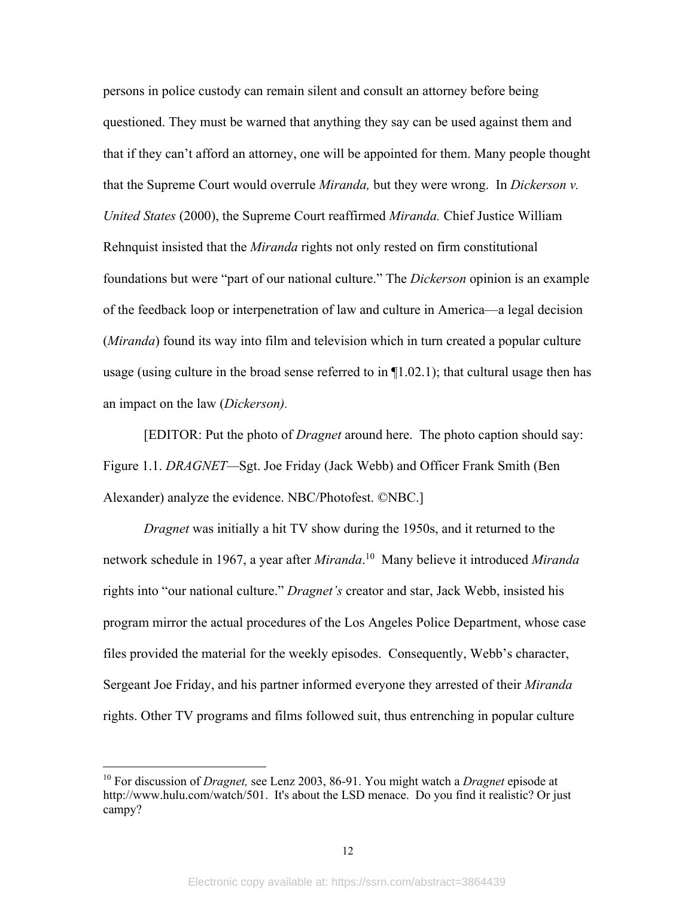persons in police custody can remain silent and consult an attorney before being questioned. They must be warned that anything they say can be used against them and that if they can't afford an attorney, one will be appointed for them. Many people thought that the Supreme Court would overrule *Miranda,* but they were wrong. In *Dickerson v. United States* (2000), the Supreme Court reaffirmed *Miranda.* Chief Justice William Rehnquist insisted that the *Miranda* rights not only rested on firm constitutional foundations but were "part of our national culture." The *Dickerson* opinion is an example of the feedback loop or interpenetration of law and culture in America—a legal decision (*Miranda*) found its way into film and television which in turn created a popular culture usage (using culture in the broad sense referred to in ¶1.02.1); that cultural usage then has an impact on the law (*Dickerson).* 

[EDITOR: Put the photo of *Dragnet* around here. The photo caption should say: Figure 1.1. *DRAGNET—*Sgt. Joe Friday (Jack Webb) and Officer Frank Smith (Ben Alexander) analyze the evidence. NBC/Photofest. ©NBC.]

*Dragnet* was initially a hit TV show during the 1950s, and it returned to the network schedule in 1967, a year after *Miranda*. <sup>10</sup> Many believe it introduced *Miranda* rights into "our national culture." *Dragnet's* creator and star, Jack Webb, insisted his program mirror the actual procedures of the Los Angeles Police Department, whose case files provided the material for the weekly episodes. Consequently, Webb's character, Sergeant Joe Friday, and his partner informed everyone they arrested of their *Miranda* rights. Other TV programs and films followed suit, thus entrenching in popular culture

<sup>10</sup> For discussion of *Dragnet,* see Lenz 2003, 86-91. You might watch a *Dragnet* episode at http://www.hulu.com/watch/501. It's about the LSD menace. Do you find it realistic? Or just campy?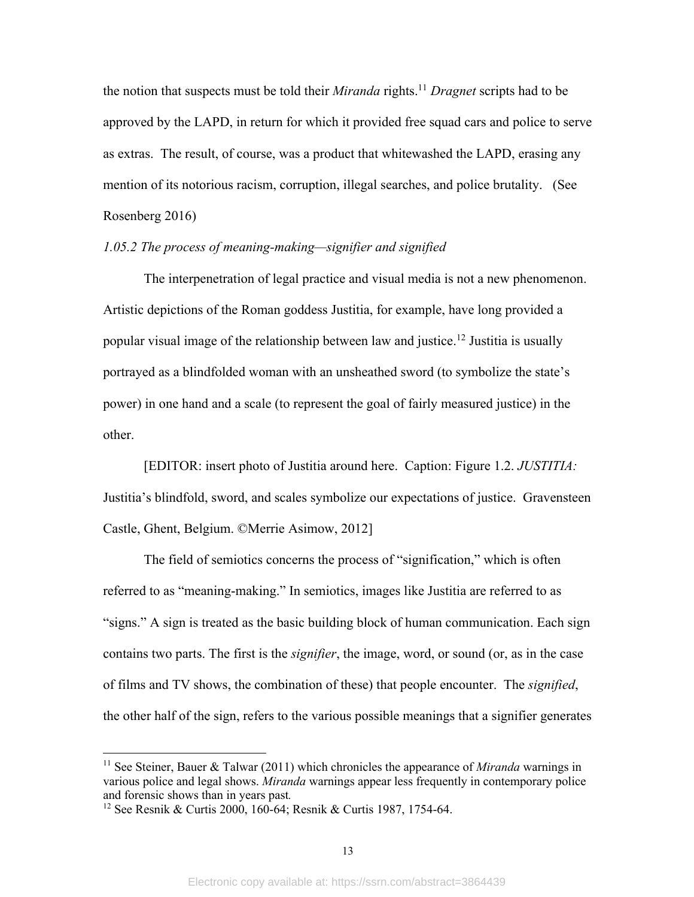the notion that suspects must be told their *Miranda* rights.11 *Dragnet* scripts had to be approved by the LAPD, in return for which it provided free squad cars and police to serve as extras. The result, of course, was a product that whitewashed the LAPD, erasing any mention of its notorious racism, corruption, illegal searches, and police brutality. (See Rosenberg 2016)

## *1.05.2 The process of meaning-making—signifier and signified*

The interpenetration of legal practice and visual media is not a new phenomenon. Artistic depictions of the Roman goddess Justitia, for example, have long provided a popular visual image of the relationship between law and justice.12 Justitia is usually portrayed as a blindfolded woman with an unsheathed sword (to symbolize the state's power) in one hand and a scale (to represent the goal of fairly measured justice) in the other.

[EDITOR: insert photo of Justitia around here. Caption: Figure 1.2. *JUSTITIA:*  Justitia's blindfold, sword, and scales symbolize our expectations of justice. Gravensteen Castle, Ghent, Belgium. ©Merrie Asimow, 2012]

The field of semiotics concerns the process of "signification," which is often referred to as "meaning-making." In semiotics, images like Justitia are referred to as "signs." A sign is treated as the basic building block of human communication. Each sign contains two parts. The first is the *signifier*, the image, word, or sound (or, as in the case of films and TV shows, the combination of these) that people encounter. The *signified*, the other half of the sign, refers to the various possible meanings that a signifier generates

<sup>11</sup> See Steiner, Bauer & Talwar (2011) which chronicles the appearance of *Miranda* warnings in various police and legal shows. *Miranda* warnings appear less frequently in contemporary police and forensic shows than in years past*.*

<sup>12</sup> See Resnik & Curtis 2000, 160-64; Resnik & Curtis 1987, 1754-64.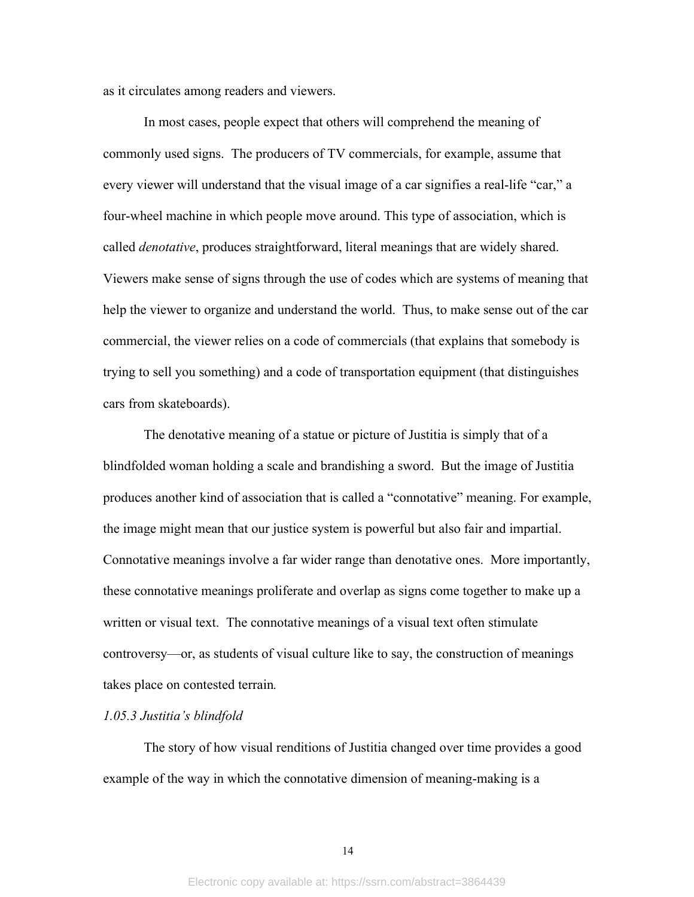as it circulates among readers and viewers.

In most cases, people expect that others will comprehend the meaning of commonly used signs. The producers of TV commercials, for example, assume that every viewer will understand that the visual image of a car signifies a real-life "car," a four-wheel machine in which people move around. This type of association, which is called *denotative*, produces straightforward, literal meanings that are widely shared. Viewers make sense of signs through the use of codes which are systems of meaning that help the viewer to organize and understand the world. Thus, to make sense out of the car commercial, the viewer relies on a code of commercials (that explains that somebody is trying to sell you something) and a code of transportation equipment (that distinguishes cars from skateboards).

The denotative meaning of a statue or picture of Justitia is simply that of a blindfolded woman holding a scale and brandishing a sword. But the image of Justitia produces another kind of association that is called a "connotative" meaning. For example, the image might mean that our justice system is powerful but also fair and impartial. Connotative meanings involve a far wider range than denotative ones. More importantly, these connotative meanings proliferate and overlap as signs come together to make up a written or visual text. The connotative meanings of a visual text often stimulate controversy—or, as students of visual culture like to say, the construction of meanings takes place on contested terrain*.* 

## *1.05.3 Justitia's blindfold*

The story of how visual renditions of Justitia changed over time provides a good example of the way in which the connotative dimension of meaning-making is a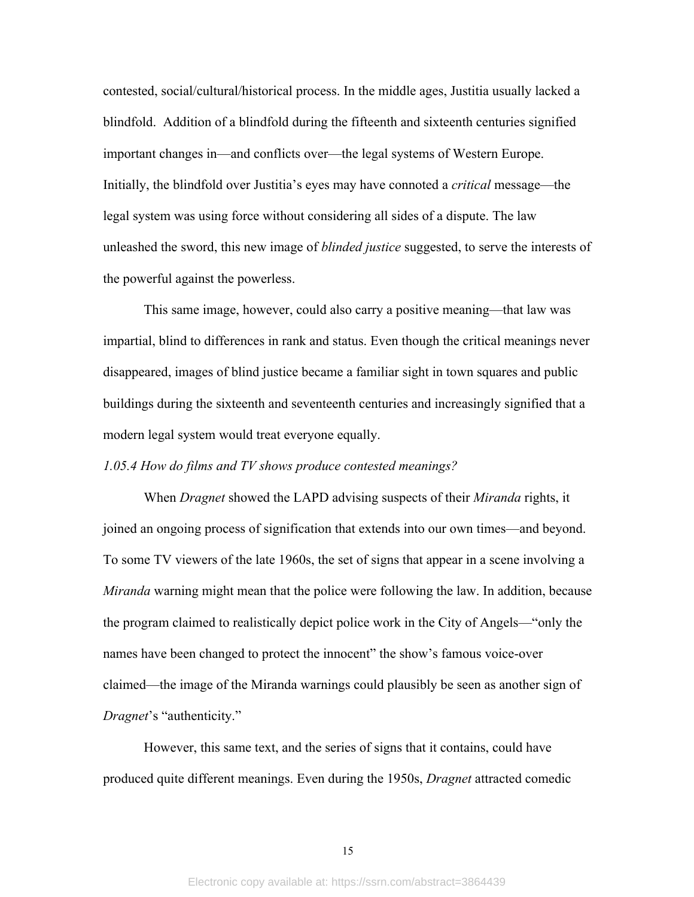contested, social/cultural/historical process. In the middle ages, Justitia usually lacked a blindfold. Addition of a blindfold during the fifteenth and sixteenth centuries signified important changes in—and conflicts over—the legal systems of Western Europe. Initially, the blindfold over Justitia's eyes may have connoted a *critical* message—the legal system was using force without considering all sides of a dispute. The law unleashed the sword, this new image of *blinded justice* suggested, to serve the interests of the powerful against the powerless.

This same image, however, could also carry a positive meaning—that law was impartial, blind to differences in rank and status. Even though the critical meanings never disappeared, images of blind justice became a familiar sight in town squares and public buildings during the sixteenth and seventeenth centuries and increasingly signified that a modern legal system would treat everyone equally.

## *1.05.4 How do films and TV shows produce contested meanings?*

When *Dragnet* showed the LAPD advising suspects of their *Miranda* rights, it joined an ongoing process of signification that extends into our own times—and beyond. To some TV viewers of the late 1960s, the set of signs that appear in a scene involving a *Miranda* warning might mean that the police were following the law. In addition, because the program claimed to realistically depict police work in the City of Angels—"only the names have been changed to protect the innocent" the show's famous voice-over claimed—the image of the Miranda warnings could plausibly be seen as another sign of *Dragnet*'s "authenticity."

However, this same text, and the series of signs that it contains, could have produced quite different meanings. Even during the 1950s, *Dragnet* attracted comedic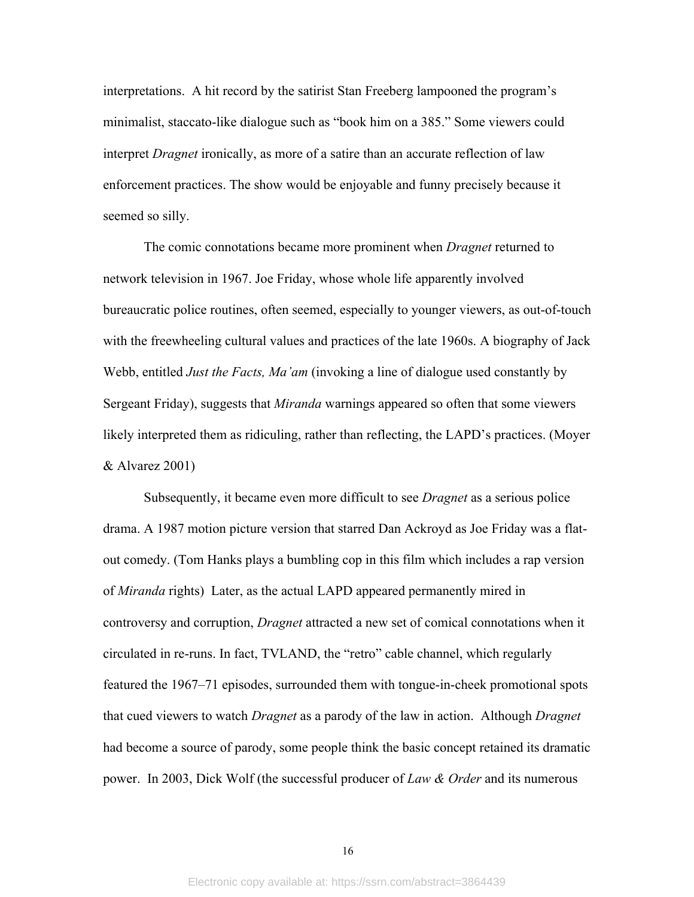interpretations. A hit record by the satirist Stan Freeberg lampooned the program's minimalist, staccato-like dialogue such as "book him on a 385." Some viewers could interpret *Dragnet* ironically, as more of a satire than an accurate reflection of law enforcement practices. The show would be enjoyable and funny precisely because it seemed so silly.

The comic connotations became more prominent when *Dragnet* returned to network television in 1967. Joe Friday, whose whole life apparently involved bureaucratic police routines, often seemed, especially to younger viewers, as out-of-touch with the freewheeling cultural values and practices of the late 1960s. A biography of Jack Webb, entitled *Just the Facts, Ma'am* (invoking a line of dialogue used constantly by Sergeant Friday), suggests that *Miranda* warnings appeared so often that some viewers likely interpreted them as ridiculing, rather than reflecting, the LAPD's practices. (Moyer & Alvarez 2001)

Subsequently, it became even more difficult to see *Dragnet* as a serious police drama. A 1987 motion picture version that starred Dan Ackroyd as Joe Friday was a flatout comedy. (Tom Hanks plays a bumbling cop in this film which includes a rap version of *Miranda* rights) Later, as the actual LAPD appeared permanently mired in controversy and corruption, *Dragnet* attracted a new set of comical connotations when it circulated in re-runs. In fact, TVLAND, the "retro" cable channel, which regularly featured the 1967–71 episodes, surrounded them with tongue-in-cheek promotional spots that cued viewers to watch *Dragnet* as a parody of the law in action. Although *Dragnet*  had become a source of parody, some people think the basic concept retained its dramatic power. In 2003, Dick Wolf (the successful producer of *Law & Order* and its numerous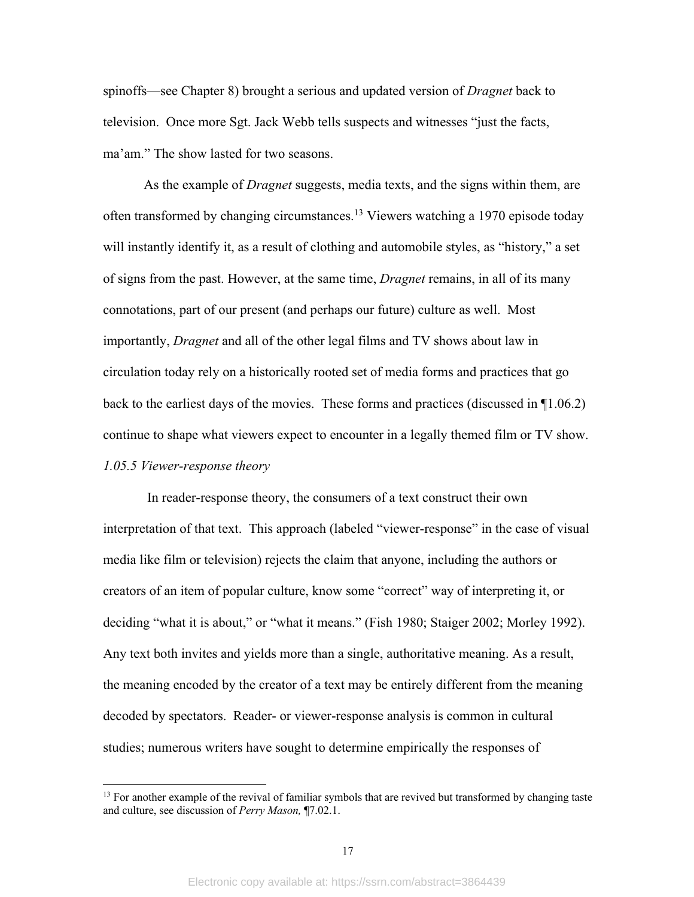spinoffs—see Chapter 8) brought a serious and updated version of *Dragnet* back to television. Once more Sgt. Jack Webb tells suspects and witnesses "just the facts, ma'am." The show lasted for two seasons.

As the example of *Dragnet* suggests, media texts, and the signs within them, are often transformed by changing circumstances.13 Viewers watching a 1970 episode today will instantly identify it, as a result of clothing and automobile styles, as "history," a set of signs from the past. However, at the same time, *Dragnet* remains, in all of its many connotations, part of our present (and perhaps our future) culture as well. Most importantly, *Dragnet* and all of the other legal films and TV shows about law in circulation today rely on a historically rooted set of media forms and practices that go back to the earliest days of the movies. These forms and practices (discussed in ¶1.06.2) continue to shape what viewers expect to encounter in a legally themed film or TV show. *1.05.5 Viewer-response theory*

In reader-response theory, the consumers of a text construct their own interpretation of that text. This approach (labeled "viewer-response" in the case of visual media like film or television) rejects the claim that anyone, including the authors or creators of an item of popular culture, know some "correct" way of interpreting it, or deciding "what it is about," or "what it means." (Fish 1980; Staiger 2002; Morley 1992). Any text both invites and yields more than a single, authoritative meaning. As a result, the meaning encoded by the creator of a text may be entirely different from the meaning decoded by spectators. Reader- or viewer-response analysis is common in cultural studies; numerous writers have sought to determine empirically the responses of

<sup>&</sup>lt;sup>13</sup> For another example of the revival of familiar symbols that are revived but transformed by changing taste and culture, see discussion of *Perry Mason,* ¶7.02.1.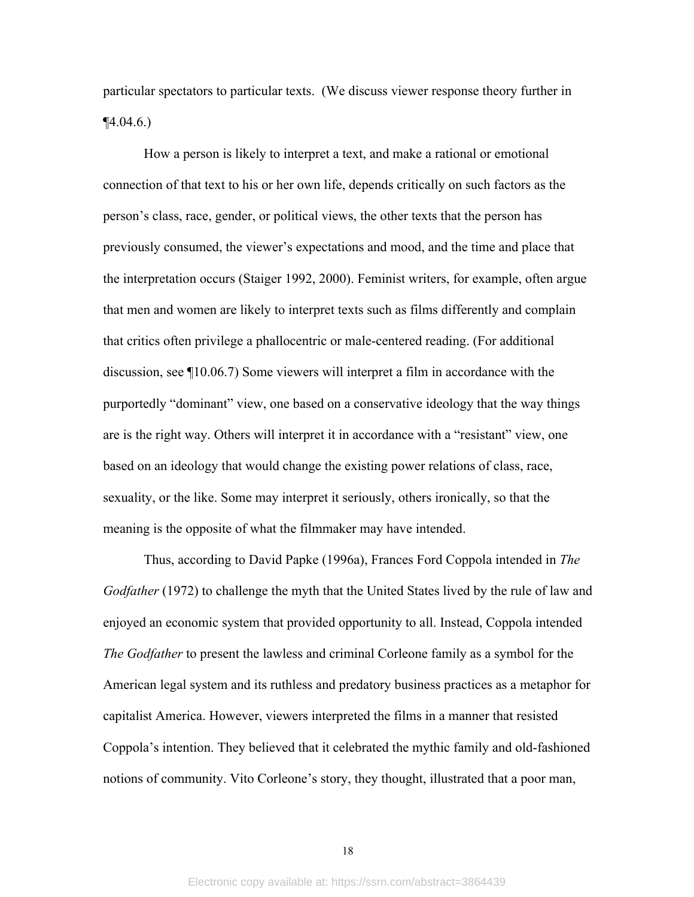particular spectators to particular texts. (We discuss viewer response theory further in  $\P(4.04.6.)$ 

How a person is likely to interpret a text, and make a rational or emotional connection of that text to his or her own life, depends critically on such factors as the person's class, race, gender, or political views, the other texts that the person has previously consumed, the viewer's expectations and mood, and the time and place that the interpretation occurs (Staiger 1992, 2000). Feminist writers, for example, often argue that men and women are likely to interpret texts such as films differently and complain that critics often privilege a phallocentric or male-centered reading. (For additional discussion, see ¶10.06.7) Some viewers will interpret a film in accordance with the purportedly "dominant" view, one based on a conservative ideology that the way things are is the right way. Others will interpret it in accordance with a "resistant" view, one based on an ideology that would change the existing power relations of class, race, sexuality, or the like. Some may interpret it seriously, others ironically, so that the meaning is the opposite of what the filmmaker may have intended.

Thus, according to David Papke (1996a), Frances Ford Coppola intended in *The Godfather* (1972) to challenge the myth that the United States lived by the rule of law and enjoyed an economic system that provided opportunity to all. Instead, Coppola intended *The Godfather* to present the lawless and criminal Corleone family as a symbol for the American legal system and its ruthless and predatory business practices as a metaphor for capitalist America. However, viewers interpreted the films in a manner that resisted Coppola's intention. They believed that it celebrated the mythic family and old-fashioned notions of community. Vito Corleone's story, they thought, illustrated that a poor man,

18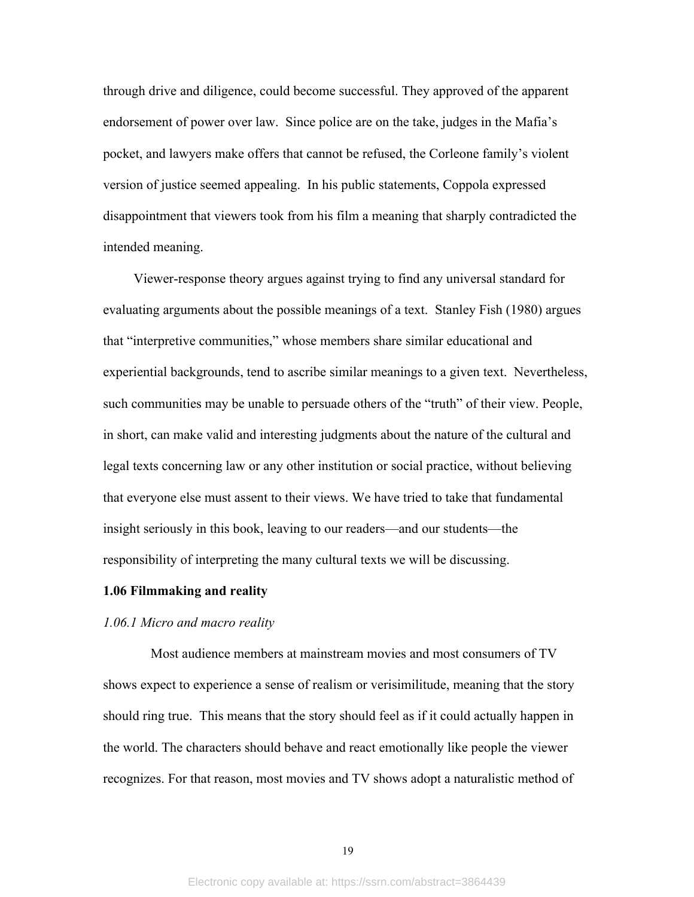through drive and diligence, could become successful. They approved of the apparent endorsement of power over law. Since police are on the take, judges in the Mafia's pocket, and lawyers make offers that cannot be refused, the Corleone family's violent version of justice seemed appealing. In his public statements, Coppola expressed disappointment that viewers took from his film a meaning that sharply contradicted the intended meaning.

 Viewer-response theory argues against trying to find any universal standard for evaluating arguments about the possible meanings of a text. Stanley Fish (1980) argues that "interpretive communities," whose members share similar educational and experiential backgrounds, tend to ascribe similar meanings to a given text. Nevertheless, such communities may be unable to persuade others of the "truth" of their view. People, in short, can make valid and interesting judgments about the nature of the cultural and legal texts concerning law or any other institution or social practice, without believing that everyone else must assent to their views. We have tried to take that fundamental insight seriously in this book, leaving to our readers—and our students—the responsibility of interpreting the many cultural texts we will be discussing.

#### **1.06 Filmmaking and reality**

## *1.06.1 Micro and macro reality*

 Most audience members at mainstream movies and most consumers of TV shows expect to experience a sense of realism or verisimilitude, meaning that the story should ring true. This means that the story should feel as if it could actually happen in the world. The characters should behave and react emotionally like people the viewer recognizes. For that reason, most movies and TV shows adopt a naturalistic method of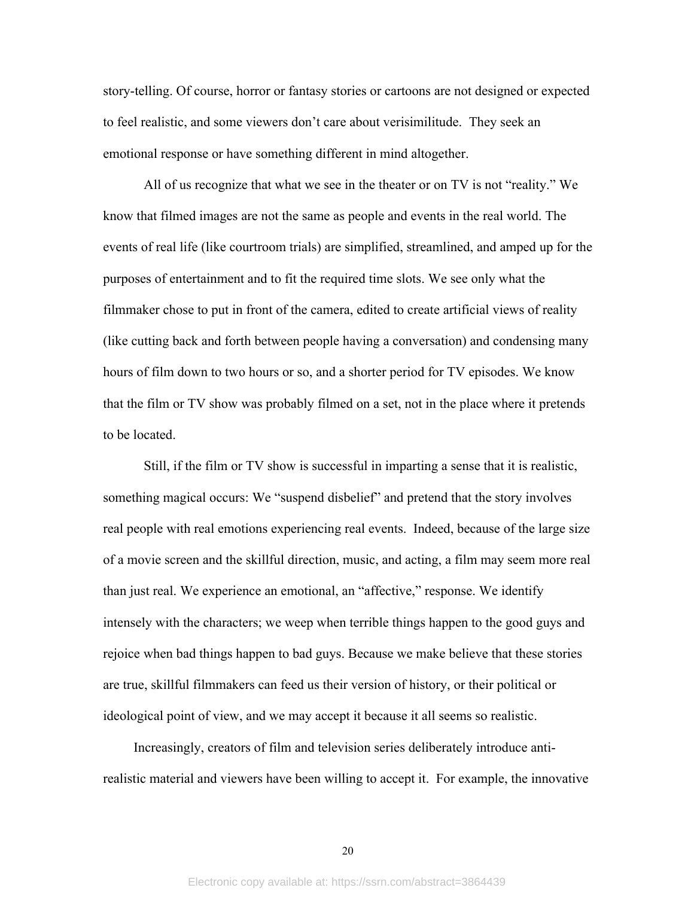story-telling. Of course, horror or fantasy stories or cartoons are not designed or expected to feel realistic, and some viewers don't care about verisimilitude. They seek an emotional response or have something different in mind altogether.

All of us recognize that what we see in the theater or on TV is not "reality." We know that filmed images are not the same as people and events in the real world. The events of real life (like courtroom trials) are simplified, streamlined, and amped up for the purposes of entertainment and to fit the required time slots. We see only what the filmmaker chose to put in front of the camera, edited to create artificial views of reality (like cutting back and forth between people having a conversation) and condensing many hours of film down to two hours or so, and a shorter period for TV episodes. We know that the film or TV show was probably filmed on a set, not in the place where it pretends to be located.

Still, if the film or TV show is successful in imparting a sense that it is realistic, something magical occurs: We "suspend disbelief" and pretend that the story involves real people with real emotions experiencing real events. Indeed, because of the large size of a movie screen and the skillful direction, music, and acting, a film may seem more real than just real. We experience an emotional, an "affective," response. We identify intensely with the characters; we weep when terrible things happen to the good guys and rejoice when bad things happen to bad guys. Because we make believe that these stories are true, skillful filmmakers can feed us their version of history, or their political or ideological point of view, and we may accept it because it all seems so realistic.

 Increasingly, creators of film and television series deliberately introduce antirealistic material and viewers have been willing to accept it. For example, the innovative

20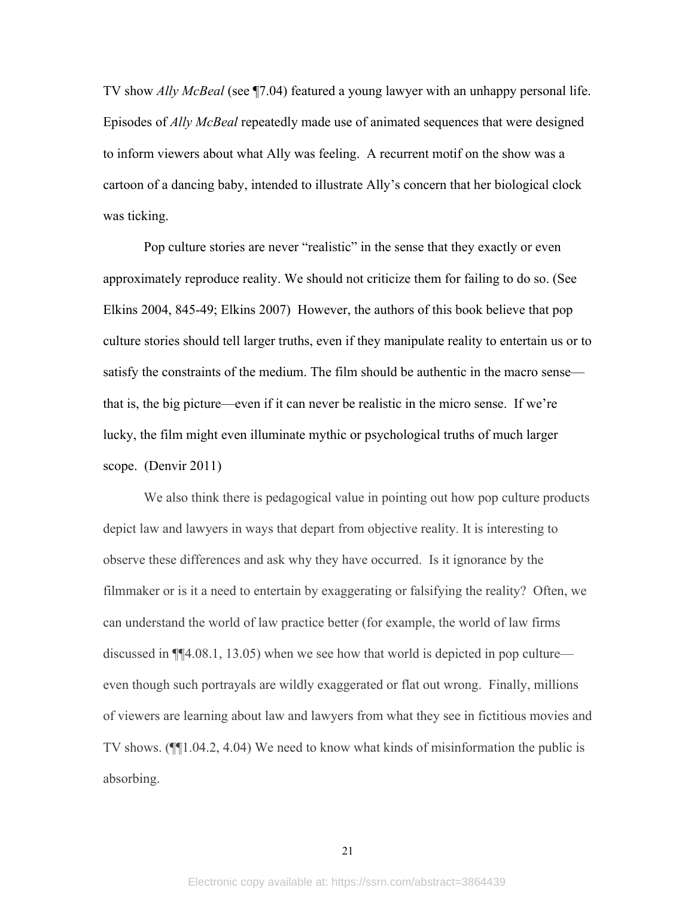TV show *Ally McBeal* (see ¶7.04) featured a young lawyer with an unhappy personal life. Episodes of *Ally McBeal* repeatedly made use of animated sequences that were designed to inform viewers about what Ally was feeling. A recurrent motif on the show was a cartoon of a dancing baby, intended to illustrate Ally's concern that her biological clock was ticking.

Pop culture stories are never "realistic" in the sense that they exactly or even approximately reproduce reality. We should not criticize them for failing to do so. (See Elkins 2004, 845-49; Elkins 2007) However, the authors of this book believe that pop culture stories should tell larger truths, even if they manipulate reality to entertain us or to satisfy the constraints of the medium. The film should be authentic in the macro sense that is, the big picture—even if it can never be realistic in the micro sense. If we're lucky, the film might even illuminate mythic or psychological truths of much larger scope. (Denvir 2011)

We also think there is pedagogical value in pointing out how pop culture products depict law and lawyers in ways that depart from objective reality. It is interesting to observe these differences and ask why they have occurred. Is it ignorance by the filmmaker or is it a need to entertain by exaggerating or falsifying the reality? Often, we can understand the world of law practice better (for example, the world of law firms discussed in ¶¶4.08.1, 13.05) when we see how that world is depicted in pop culture even though such portrayals are wildly exaggerated or flat out wrong. Finally, millions of viewers are learning about law and lawyers from what they see in fictitious movies and TV shows. (¶¶1.04.2, 4.04) We need to know what kinds of misinformation the public is absorbing.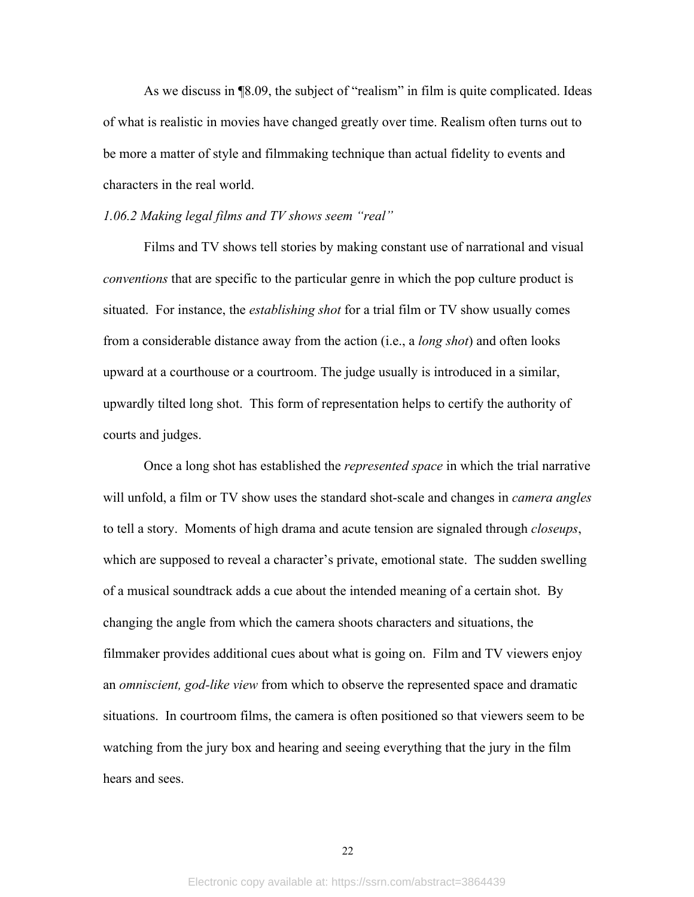As we discuss in ¶8.09, the subject of "realism" in film is quite complicated. Ideas of what is realistic in movies have changed greatly over time. Realism often turns out to be more a matter of style and filmmaking technique than actual fidelity to events and characters in the real world.

## *1.06.2 Making legal films and TV shows seem "real"*

Films and TV shows tell stories by making constant use of narrational and visual *conventions* that are specific to the particular genre in which the pop culture product is situated. For instance, the *establishing shot* for a trial film or TV show usually comes from a considerable distance away from the action (i.e., a *long shot*) and often looks upward at a courthouse or a courtroom. The judge usually is introduced in a similar, upwardly tilted long shot. This form of representation helps to certify the authority of courts and judges.

Once a long shot has established the *represented space* in which the trial narrative will unfold, a film or TV show uses the standard shot-scale and changes in *camera angles* to tell a story. Moments of high drama and acute tension are signaled through *closeups*, which are supposed to reveal a character's private, emotional state. The sudden swelling of a musical soundtrack adds a cue about the intended meaning of a certain shot. By changing the angle from which the camera shoots characters and situations, the filmmaker provides additional cues about what is going on. Film and TV viewers enjoy an *omniscient, god-like view* from which to observe the represented space and dramatic situations. In courtroom films, the camera is often positioned so that viewers seem to be watching from the jury box and hearing and seeing everything that the jury in the film hears and sees.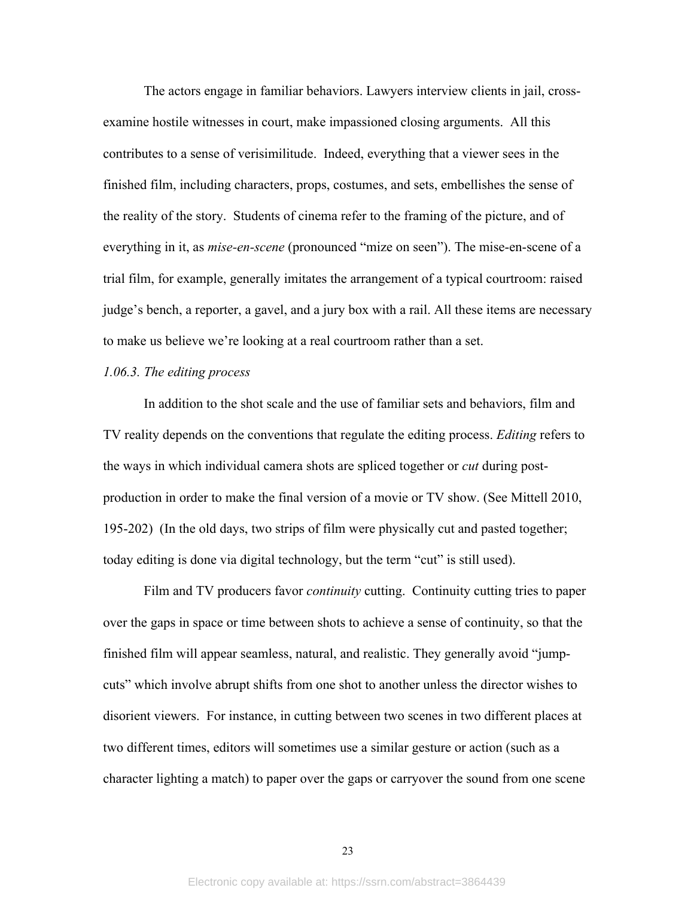The actors engage in familiar behaviors. Lawyers interview clients in jail, crossexamine hostile witnesses in court, make impassioned closing arguments. All this contributes to a sense of verisimilitude. Indeed, everything that a viewer sees in the finished film, including characters, props, costumes, and sets, embellishes the sense of the reality of the story. Students of cinema refer to the framing of the picture, and of everything in it, as *mise-en-scene* (pronounced "mize on seen"). The mise-en-scene of a trial film, for example, generally imitates the arrangement of a typical courtroom: raised judge's bench, a reporter, a gavel, and a jury box with a rail. All these items are necessary to make us believe we're looking at a real courtroom rather than a set.

## *1.06.3. The editing process*

In addition to the shot scale and the use of familiar sets and behaviors, film and TV reality depends on the conventions that regulate the editing process. *Editing* refers to the ways in which individual camera shots are spliced together or *cut* during postproduction in order to make the final version of a movie or TV show. (See Mittell 2010, 195-202) (In the old days, two strips of film were physically cut and pasted together; today editing is done via digital technology, but the term "cut" is still used).

Film and TV producers favor *continuity* cutting. Continuity cutting tries to paper over the gaps in space or time between shots to achieve a sense of continuity, so that the finished film will appear seamless, natural, and realistic. They generally avoid "jumpcuts" which involve abrupt shifts from one shot to another unless the director wishes to disorient viewers. For instance, in cutting between two scenes in two different places at two different times, editors will sometimes use a similar gesture or action (such as a character lighting a match) to paper over the gaps or carryover the sound from one scene

23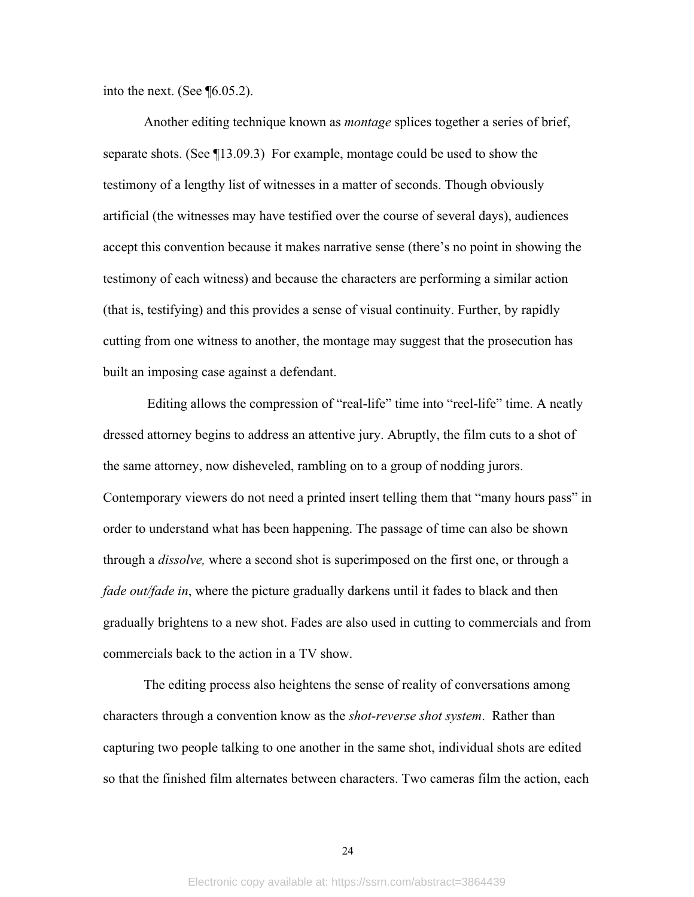into the next. (See ¶6.05.2).

Another editing technique known as *montage* splices together a series of brief, separate shots. (See ¶13.09.3) For example, montage could be used to show the testimony of a lengthy list of witnesses in a matter of seconds. Though obviously artificial (the witnesses may have testified over the course of several days), audiences accept this convention because it makes narrative sense (there's no point in showing the testimony of each witness) and because the characters are performing a similar action (that is, testifying) and this provides a sense of visual continuity. Further, by rapidly cutting from one witness to another, the montage may suggest that the prosecution has built an imposing case against a defendant.

Editing allows the compression of "real-life" time into "reel-life" time. A neatly dressed attorney begins to address an attentive jury. Abruptly, the film cuts to a shot of the same attorney, now disheveled, rambling on to a group of nodding jurors. Contemporary viewers do not need a printed insert telling them that "many hours pass" in order to understand what has been happening. The passage of time can also be shown through a *dissolve,* where a second shot is superimposed on the first one, or through a *fade out/fade in*, where the picture gradually darkens until it fades to black and then gradually brightens to a new shot. Fades are also used in cutting to commercials and from commercials back to the action in a TV show.

The editing process also heightens the sense of reality of conversations among characters through a convention know as the *shot-reverse shot system*. Rather than capturing two people talking to one another in the same shot, individual shots are edited so that the finished film alternates between characters. Two cameras film the action, each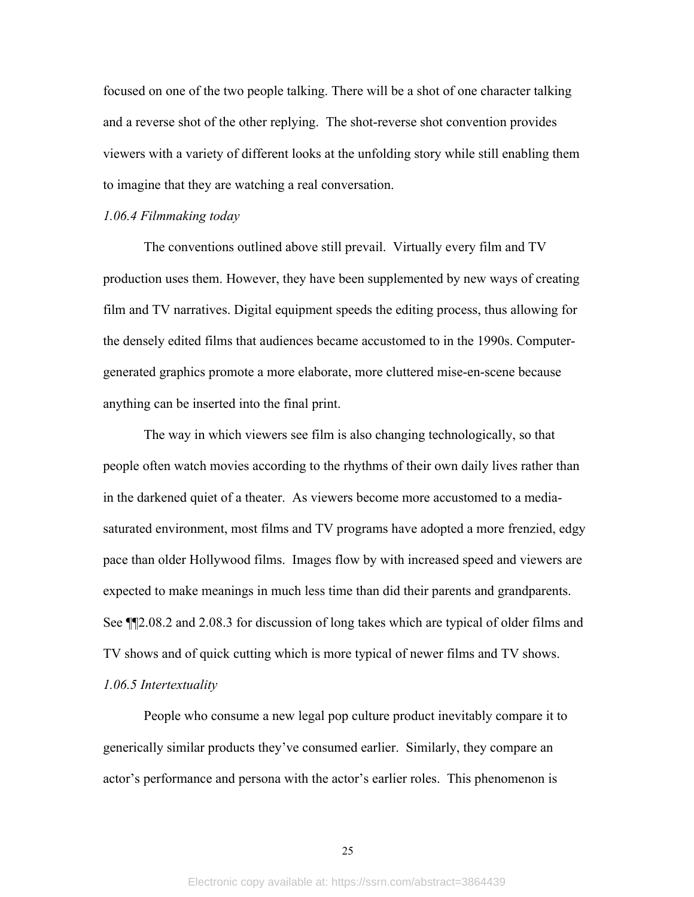focused on one of the two people talking. There will be a shot of one character talking and a reverse shot of the other replying. The shot-reverse shot convention provides viewers with a variety of different looks at the unfolding story while still enabling them to imagine that they are watching a real conversation.

#### *1.06.4 Filmmaking today*

The conventions outlined above still prevail. Virtually every film and TV production uses them. However, they have been supplemented by new ways of creating film and TV narratives. Digital equipment speeds the editing process, thus allowing for the densely edited films that audiences became accustomed to in the 1990s. Computergenerated graphics promote a more elaborate, more cluttered mise-en-scene because anything can be inserted into the final print.

The way in which viewers see film is also changing technologically, so that people often watch movies according to the rhythms of their own daily lives rather than in the darkened quiet of a theater. As viewers become more accustomed to a mediasaturated environment, most films and TV programs have adopted a more frenzied, edgy pace than older Hollywood films. Images flow by with increased speed and viewers are expected to make meanings in much less time than did their parents and grandparents. See ¶¶2.08.2 and 2.08.3 for discussion of long takes which are typical of older films and TV shows and of quick cutting which is more typical of newer films and TV shows. *1.06.5 Intertextuality*

People who consume a new legal pop culture product inevitably compare it to generically similar products they've consumed earlier. Similarly, they compare an actor's performance and persona with the actor's earlier roles. This phenomenon is